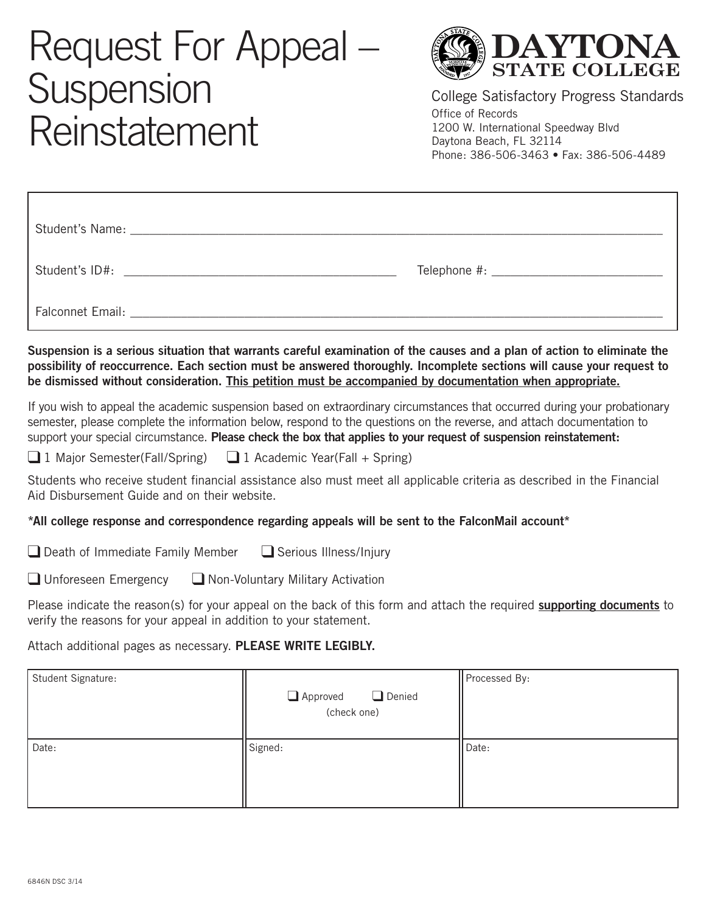## Request For Appeal Suspension Reinstatement



College Satisfactory Progress Standards Office of Records 1200 W. International Speedway Blvd Daytona Beach, FL 32114 Phone: 386-506-3463 • Fax: 386-506-4489

| Student's ID#:                                                                                                                                                                                                                |  |
|-------------------------------------------------------------------------------------------------------------------------------------------------------------------------------------------------------------------------------|--|
| Falconnet Email: The Contract of the Contract of the Contract of the Contract of the Contract of the Contract of the Contract of the Contract of the Contract of the Contract of the Contract of the Contract of the Contract |  |

**Suspension is a serious situation that warrants careful examination of the causes and a plan of action to eliminate the possibility of reoccurrence. Each section must be answered thoroughly. Incomplete sections will cause your request to be dismissed without consideration. This petition must be accompanied by documentation when appropriate.**

If you wish to appeal the academic suspension based on extraordinary circumstances that occurred during your probationary semester, please complete the information below, respond to the questions on the reverse, and attach documentation to support your special circumstance. **Please check the box that applies to your request of suspension reinstatement:**

❑ 1 Major Semester(Fall/Spring) ❑ 1 Academic Year(Fall + Spring)

Students who receive student financial assistance also must meet all applicable criteria as described in the Financial Aid Disbursement Guide and on their website.

## **\*All college response and correspondence regarding appeals will be sent to the FalconMail account\***

❑ Death of Immediate Family Member ❑ Serious Illness/Injury

❑ Unforeseen Emergency ❑ Non-Voluntary Military Activation

Please indicate the reason(s) for your appeal on the back of this form and attach the required **supporting documents** to verify the reasons for your appeal in addition to your statement.

Attach additional pages as necessary. **PLEASE WRITE LEGIBLY.**

| Student Signature: | Approved Denied<br>(check one) | Processed By: |
|--------------------|--------------------------------|---------------|
| Date:              | Signed:                        | Date:         |